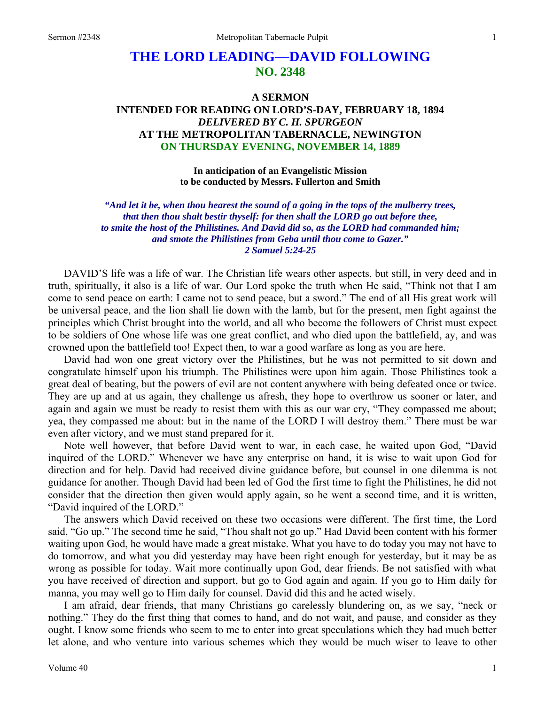# **THE LORD LEADING—DAVID FOLLOWING NO. 2348**

# **A SERMON INTENDED FOR READING ON LORD'S-DAY, FEBRUARY 18, 1894**  *DELIVERED BY C. H. SPURGEON*  **AT THE METROPOLITAN TABERNACLE, NEWINGTON ON THURSDAY EVENING, NOVEMBER 14, 1889**

**In anticipation of an Evangelistic Mission to be conducted by Messrs. Fullerton and Smith** 

*"And let it be, when thou hearest the sound of a going in the tops of the mulberry trees, that then thou shalt bestir thyself: for then shall the LORD go out before thee, to smite the host of the Philistines. And David did so, as the LORD had commanded him; and smote the Philistines from Geba until thou come to Gazer." 2 Samuel 5:24-25* 

DAVID'S life was a life of war. The Christian life wears other aspects, but still, in very deed and in truth, spiritually, it also is a life of war. Our Lord spoke the truth when He said, "Think not that I am come to send peace on earth: I came not to send peace, but a sword." The end of all His great work will be universal peace, and the lion shall lie down with the lamb, but for the present, men fight against the principles which Christ brought into the world, and all who become the followers of Christ must expect to be soldiers of One whose life was one great conflict, and who died upon the battlefield, ay, and was crowned upon the battlefield too! Expect then, to war a good warfare as long as you are here.

David had won one great victory over the Philistines, but he was not permitted to sit down and congratulate himself upon his triumph. The Philistines were upon him again. Those Philistines took a great deal of beating, but the powers of evil are not content anywhere with being defeated once or twice. They are up and at us again, they challenge us afresh, they hope to overthrow us sooner or later, and again and again we must be ready to resist them with this as our war cry, "They compassed me about; yea, they compassed me about: but in the name of the LORD I will destroy them." There must be war even after victory, and we must stand prepared for it.

Note well however, that before David went to war, in each case, he waited upon God, "David inquired of the LORD." Whenever we have any enterprise on hand, it is wise to wait upon God for direction and for help. David had received divine guidance before, but counsel in one dilemma is not guidance for another. Though David had been led of God the first time to fight the Philistines, he did not consider that the direction then given would apply again, so he went a second time, and it is written, "David inquired of the LORD."

The answers which David received on these two occasions were different. The first time, the Lord said, "Go up." The second time he said, "Thou shalt not go up." Had David been content with his former waiting upon God, he would have made a great mistake. What you have to do today you may not have to do tomorrow, and what you did yesterday may have been right enough for yesterday, but it may be as wrong as possible for today. Wait more continually upon God, dear friends. Be not satisfied with what you have received of direction and support, but go to God again and again. If you go to Him daily for manna, you may well go to Him daily for counsel. David did this and he acted wisely.

I am afraid, dear friends, that many Christians go carelessly blundering on, as we say, "neck or nothing." They do the first thing that comes to hand, and do not wait, and pause, and consider as they ought. I know some friends who seem to me to enter into great speculations which they had much better let alone, and who venture into various schemes which they would be much wiser to leave to other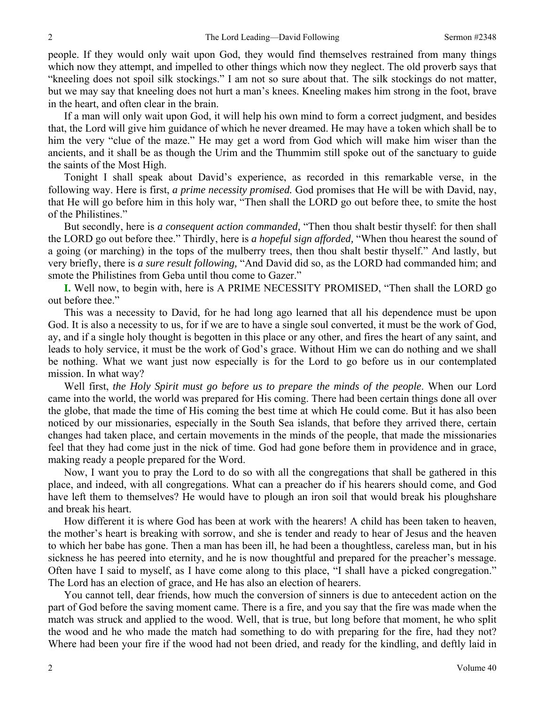people. If they would only wait upon God, they would find themselves restrained from many things which now they attempt, and impelled to other things which now they neglect. The old proverb says that "kneeling does not spoil silk stockings." I am not so sure about that. The silk stockings do not matter, but we may say that kneeling does not hurt a man's knees. Kneeling makes him strong in the foot, brave in the heart, and often clear in the brain.

If a man will only wait upon God, it will help his own mind to form a correct judgment, and besides that, the Lord will give him guidance of which he never dreamed. He may have a token which shall be to him the very "clue of the maze." He may get a word from God which will make him wiser than the ancients, and it shall be as though the Urim and the Thummim still spoke out of the sanctuary to guide the saints of the Most High.

Tonight I shall speak about David's experience, as recorded in this remarkable verse, in the following way. Here is first, *a prime necessity promised.* God promises that He will be with David, nay, that He will go before him in this holy war, "Then shall the LORD go out before thee, to smite the host of the Philistines."

But secondly, here is *a consequent action commanded,* "Then thou shalt bestir thyself: for then shall the LORD go out before thee." Thirdly, here is *a hopeful sign afforded,* "When thou hearest the sound of a going (or marching) in the tops of the mulberry trees, then thou shalt bestir thyself." And lastly, but very briefly, there is *a sure result following,* "And David did so, as the LORD had commanded him; and smote the Philistines from Geba until thou come to Gazer."

**I.** Well now, to begin with, here is A PRIME NECESSITY PROMISED, "Then shall the LORD go out before thee."

This was a necessity to David, for he had long ago learned that all his dependence must be upon God. It is also a necessity to us, for if we are to have a single soul converted, it must be the work of God, ay, and if a single holy thought is begotten in this place or any other, and fires the heart of any saint, and leads to holy service, it must be the work of God's grace. Without Him we can do nothing and we shall be nothing. What we want just now especially is for the Lord to go before us in our contemplated mission. In what way?

Well first, *the Holy Spirit must go before us to prepare the minds of the people*. When our Lord came into the world, the world was prepared for His coming. There had been certain things done all over the globe, that made the time of His coming the best time at which He could come. But it has also been noticed by our missionaries, especially in the South Sea islands, that before they arrived there, certain changes had taken place, and certain movements in the minds of the people, that made the missionaries feel that they had come just in the nick of time. God had gone before them in providence and in grace, making ready a people prepared for the Word.

Now, I want you to pray the Lord to do so with all the congregations that shall be gathered in this place, and indeed, with all congregations. What can a preacher do if his hearers should come, and God have left them to themselves? He would have to plough an iron soil that would break his ploughshare and break his heart.

How different it is where God has been at work with the hearers! A child has been taken to heaven, the mother's heart is breaking with sorrow, and she is tender and ready to hear of Jesus and the heaven to which her babe has gone. Then a man has been ill, he had been a thoughtless, careless man, but in his sickness he has peered into eternity, and he is now thoughtful and prepared for the preacher's message. Often have I said to myself, as I have come along to this place, "I shall have a picked congregation." The Lord has an election of grace, and He has also an election of hearers.

You cannot tell, dear friends, how much the conversion of sinners is due to antecedent action on the part of God before the saving moment came. There is a fire, and you say that the fire was made when the match was struck and applied to the wood. Well, that is true, but long before that moment, he who split the wood and he who made the match had something to do with preparing for the fire, had they not? Where had been your fire if the wood had not been dried, and ready for the kindling, and deftly laid in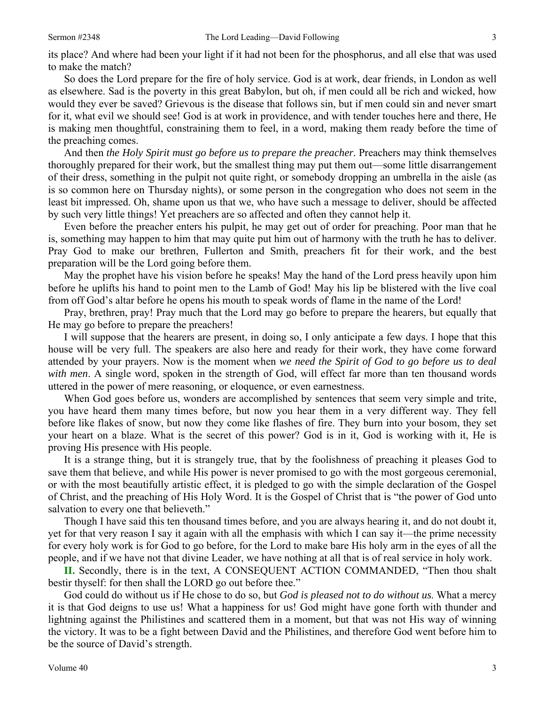its place? And where had been your light if it had not been for the phosphorus, and all else that was used to make the match?

So does the Lord prepare for the fire of holy service. God is at work, dear friends, in London as well as elsewhere. Sad is the poverty in this great Babylon, but oh, if men could all be rich and wicked, how would they ever be saved? Grievous is the disease that follows sin, but if men could sin and never smart for it, what evil we should see! God is at work in providence, and with tender touches here and there, He is making men thoughtful, constraining them to feel, in a word, making them ready before the time of the preaching comes.

And then *the Holy Spirit must go before us to prepare the preacher.* Preachers may think themselves thoroughly prepared for their work, but the smallest thing may put them out—some little disarrangement of their dress, something in the pulpit not quite right, or somebody dropping an umbrella in the aisle (as is so common here on Thursday nights), or some person in the congregation who does not seem in the least bit impressed. Oh, shame upon us that we, who have such a message to deliver, should be affected by such very little things! Yet preachers are so affected and often they cannot help it.

Even before the preacher enters his pulpit, he may get out of order for preaching. Poor man that he is, something may happen to him that may quite put him out of harmony with the truth he has to deliver. Pray God to make our brethren, Fullerton and Smith, preachers fit for their work, and the best preparation will be the Lord going before them.

May the prophet have his vision before he speaks! May the hand of the Lord press heavily upon him before he uplifts his hand to point men to the Lamb of God! May his lip be blistered with the live coal from off God's altar before he opens his mouth to speak words of flame in the name of the Lord!

Pray, brethren, pray! Pray much that the Lord may go before to prepare the hearers, but equally that He may go before to prepare the preachers!

I will suppose that the hearers are present, in doing so, I only anticipate a few days. I hope that this house will be very full. The speakers are also here and ready for their work, they have come forward attended by your prayers. Now is the moment when *we need the Spirit of God to go before us to deal with men*. A single word, spoken in the strength of God, will effect far more than ten thousand words uttered in the power of mere reasoning, or eloquence, or even earnestness.

When God goes before us, wonders are accomplished by sentences that seem very simple and trite, you have heard them many times before, but now you hear them in a very different way. They fell before like flakes of snow, but now they come like flashes of fire. They burn into your bosom, they set your heart on a blaze. What is the secret of this power? God is in it, God is working with it, He is proving His presence with His people.

It is a strange thing, but it is strangely true, that by the foolishness of preaching it pleases God to save them that believe, and while His power is never promised to go with the most gorgeous ceremonial, or with the most beautifully artistic effect, it is pledged to go with the simple declaration of the Gospel of Christ, and the preaching of His Holy Word. It is the Gospel of Christ that is "the power of God unto salvation to every one that believeth."

Though I have said this ten thousand times before, and you are always hearing it, and do not doubt it, yet for that very reason I say it again with all the emphasis with which I can say it—the prime necessity for every holy work is for God to go before, for the Lord to make bare His holy arm in the eyes of all the people, and if we have not that divine Leader, we have nothing at all that is of real service in holy work.

**II.** Secondly, there is in the text, A CONSEQUENT ACTION COMMANDED, "Then thou shalt bestir thyself: for then shall the LORD go out before thee."

God could do without us if He chose to do so, but *God is pleased not to do without us*. What a mercy it is that God deigns to use us! What a happiness for us! God might have gone forth with thunder and lightning against the Philistines and scattered them in a moment, but that was not His way of winning the victory. It was to be a fight between David and the Philistines, and therefore God went before him to be the source of David's strength.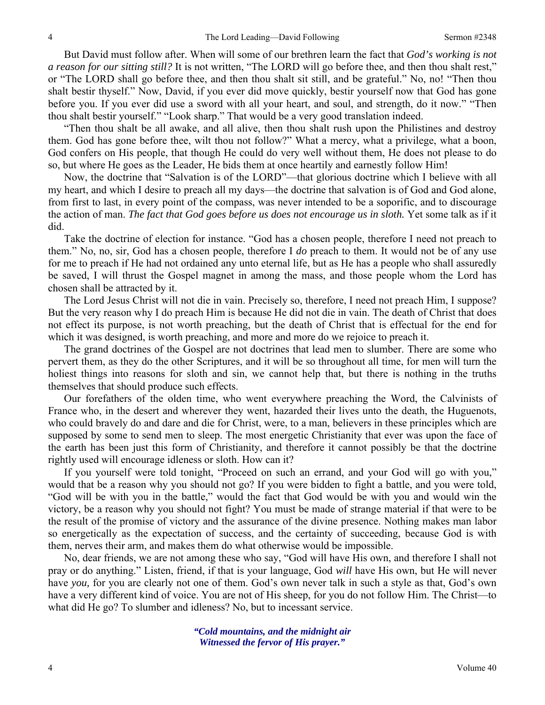But David must follow after. When will some of our brethren learn the fact that *God's working is not a reason for our sitting still?* It is not written, "The LORD will go before thee, and then thou shalt rest," or "The LORD shall go before thee, and then thou shalt sit still, and be grateful." No, no! "Then thou shalt bestir thyself." Now, David, if you ever did move quickly, bestir yourself now that God has gone before you. If you ever did use a sword with all your heart, and soul, and strength, do it now." "Then thou shalt bestir yourself." "Look sharp." That would be a very good translation indeed.

"Then thou shalt be all awake, and all alive, then thou shalt rush upon the Philistines and destroy them. God has gone before thee, wilt thou not follow?" What a mercy, what a privilege, what a boon, God confers on His people, that though He could do very well without them, He does not please to do so, but where He goes as the Leader, He bids them at once heartily and earnestly follow Him!

Now, the doctrine that "Salvation is of the LORD"—that glorious doctrine which I believe with all my heart, and which I desire to preach all my days—the doctrine that salvation is of God and God alone, from first to last, in every point of the compass, was never intended to be a soporific, and to discourage the action of man. *The fact that God goes before us does not encourage us in sloth.* Yet some talk as if it did.

Take the doctrine of election for instance. "God has a chosen people, therefore I need not preach to them." No, no, sir, God has a chosen people, therefore I *do* preach to them. It would not be of any use for me to preach if He had not ordained any unto eternal life, but as He has a people who shall assuredly be saved, I will thrust the Gospel magnet in among the mass, and those people whom the Lord has chosen shall be attracted by it.

The Lord Jesus Christ will not die in vain. Precisely so, therefore, I need not preach Him, I suppose? But the very reason why I do preach Him is because He did not die in vain. The death of Christ that does not effect its purpose, is not worth preaching, but the death of Christ that is effectual for the end for which it was designed, is worth preaching, and more and more do we rejoice to preach it.

The grand doctrines of the Gospel are not doctrines that lead men to slumber. There are some who pervert them, as they do the other Scriptures, and it will be so throughout all time, for men will turn the holiest things into reasons for sloth and sin, we cannot help that, but there is nothing in the truths themselves that should produce such effects.

Our forefathers of the olden time, who went everywhere preaching the Word, the Calvinists of France who, in the desert and wherever they went, hazarded their lives unto the death, the Huguenots, who could bravely do and dare and die for Christ, were, to a man, believers in these principles which are supposed by some to send men to sleep. The most energetic Christianity that ever was upon the face of the earth has been just this form of Christianity, and therefore it cannot possibly be that the doctrine rightly used will encourage idleness or sloth. How can it?

If you yourself were told tonight, "Proceed on such an errand, and your God will go with you," would that be a reason why you should not go? If you were bidden to fight a battle, and you were told, "God will be with you in the battle," would the fact that God would be with you and would win the victory, be a reason why you should not fight? You must be made of strange material if that were to be the result of the promise of victory and the assurance of the divine presence. Nothing makes man labor so energetically as the expectation of success, and the certainty of succeeding, because God is with them, nerves their arm, and makes them do what otherwise would be impossible.

No, dear friends, we are not among these who say, "God will have His own, and therefore I shall not pray or do anything." Listen, friend, if that is your language, God *will* have His own, but He will never have *you,* for you are clearly not one of them. God's own never talk in such a style as that, God's own have a very different kind of voice. You are not of His sheep, for you do not follow Him. The Christ—to what did He go? To slumber and idleness? No, but to incessant service.

> *"Cold mountains, and the midnight air Witnessed the fervor of His prayer."*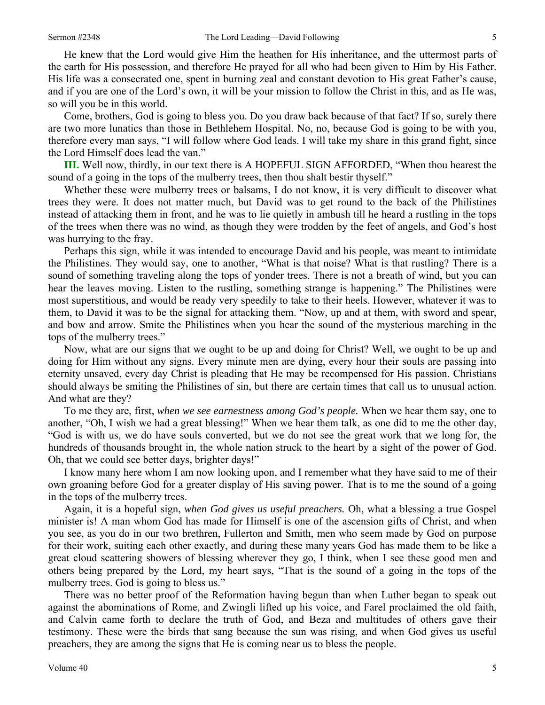He knew that the Lord would give Him the heathen for His inheritance, and the uttermost parts of the earth for His possession, and therefore He prayed for all who had been given to Him by His Father. His life was a consecrated one, spent in burning zeal and constant devotion to His great Father's cause, and if you are one of the Lord's own, it will be your mission to follow the Christ in this, and as He was, so will you be in this world.

Come, brothers, God is going to bless you. Do you draw back because of that fact? If so, surely there are two more lunatics than those in Bethlehem Hospital. No, no, because God is going to be with you, therefore every man says, "I will follow where God leads. I will take my share in this grand fight, since the Lord Himself does lead the van."

**III.** Well now, thirdly, in our text there is A HOPEFUL SIGN AFFORDED, "When thou hearest the sound of a going in the tops of the mulberry trees, then thou shalt bestir thyself."

Whether these were mulberry trees or balsams, I do not know, it is very difficult to discover what trees they were. It does not matter much, but David was to get round to the back of the Philistines instead of attacking them in front, and he was to lie quietly in ambush till he heard a rustling in the tops of the trees when there was no wind, as though they were trodden by the feet of angels, and God's host was hurrying to the fray.

Perhaps this sign, while it was intended to encourage David and his people, was meant to intimidate the Philistines. They would say, one to another, "What is that noise? What is that rustling? There is a sound of something traveling along the tops of yonder trees. There is not a breath of wind, but you can hear the leaves moving. Listen to the rustling, something strange is happening." The Philistines were most superstitious, and would be ready very speedily to take to their heels. However, whatever it was to them, to David it was to be the signal for attacking them. "Now, up and at them, with sword and spear, and bow and arrow. Smite the Philistines when you hear the sound of the mysterious marching in the tops of the mulberry trees."

Now, what are our signs that we ought to be up and doing for Christ? Well, we ought to be up and doing for Him without any signs. Every minute men are dying, every hour their souls are passing into eternity unsaved, every day Christ is pleading that He may be recompensed for His passion. Christians should always be smiting the Philistines of sin, but there are certain times that call us to unusual action. And what are they?

To me they are, first, *when we see earnestness among God's people.* When we hear them say, one to another, "Oh, I wish we had a great blessing!" When we hear them talk, as one did to me the other day, "God is with us, we do have souls converted, but we do not see the great work that we long for, the hundreds of thousands brought in, the whole nation struck to the heart by a sight of the power of God. Oh, that we could see better days, brighter days!"

I know many here whom I am now looking upon, and I remember what they have said to me of their own groaning before God for a greater display of His saving power. That is to me the sound of a going in the tops of the mulberry trees.

Again, it is a hopeful sign, *when God gives us useful preachers.* Oh, what a blessing a true Gospel minister is! A man whom God has made for Himself is one of the ascension gifts of Christ, and when you see, as you do in our two brethren, Fullerton and Smith, men who seem made by God on purpose for their work, suiting each other exactly, and during these many years God has made them to be like a great cloud scattering showers of blessing wherever they go, I think, when I see these good men and others being prepared by the Lord, my heart says, "That is the sound of a going in the tops of the mulberry trees. God is going to bless us."

There was no better proof of the Reformation having begun than when Luther began to speak out against the abominations of Rome, and Zwingli lifted up his voice, and Farel proclaimed the old faith, and Calvin came forth to declare the truth of God, and Beza and multitudes of others gave their testimony. These were the birds that sang because the sun was rising, and when God gives us useful preachers, they are among the signs that He is coming near us to bless the people.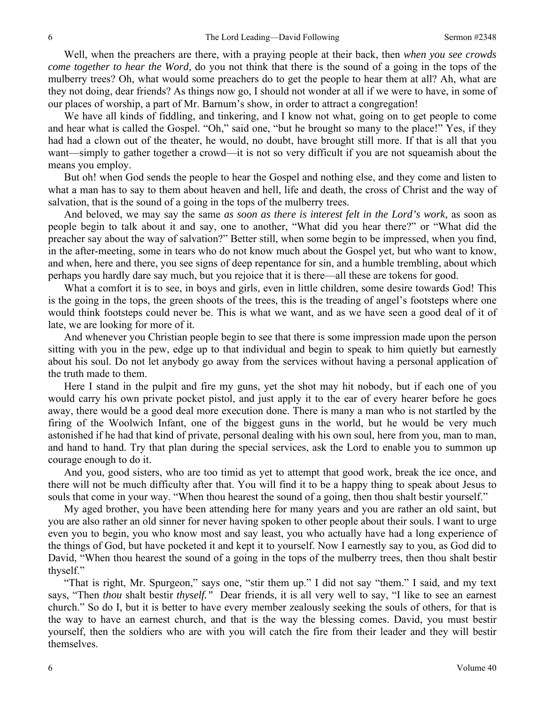Well, when the preachers are there, with a praying people at their back, then *when you see crowds come together to hear the Word,* do you not think that there is the sound of a going in the tops of the mulberry trees? Oh, what would some preachers do to get the people to hear them at all? Ah, what are they not doing, dear friends? As things now go, I should not wonder at all if we were to have, in some of our places of worship, a part of Mr. Barnum's show, in order to attract a congregation!

We have all kinds of fiddling, and tinkering, and I know not what, going on to get people to come and hear what is called the Gospel. "Oh," said one, "but he brought so many to the place!" Yes, if they had had a clown out of the theater, he would, no doubt, have brought still more. If that is all that you want—simply to gather together a crowd—it is not so very difficult if you are not squeamish about the means you employ.

But oh! when God sends the people to hear the Gospel and nothing else, and they come and listen to what a man has to say to them about heaven and hell, life and death, the cross of Christ and the way of salvation, that is the sound of a going in the tops of the mulberry trees.

And beloved, we may say the same *as soon as there is interest felt in the Lord's work,* as soon as people begin to talk about it and say, one to another, "What did you hear there?" or "What did the preacher say about the way of salvation?" Better still, when some begin to be impressed, when you find, in the after-meeting, some in tears who do not know much about the Gospel yet, but who want to know, and when, here and there, you see signs of deep repentance for sin, and a humble trembling, about which perhaps you hardly dare say much, but you rejoice that it is there—all these are tokens for good.

What a comfort it is to see, in boys and girls, even in little children, some desire towards God! This is the going in the tops, the green shoots of the trees, this is the treading of angel's footsteps where one would think footsteps could never be. This is what we want, and as we have seen a good deal of it of late, we are looking for more of it.

And whenever you Christian people begin to see that there is some impression made upon the person sitting with you in the pew, edge up to that individual and begin to speak to him quietly but earnestly about his soul. Do not let anybody go away from the services without having a personal application of the truth made to them.

Here I stand in the pulpit and fire my guns, yet the shot may hit nobody, but if each one of you would carry his own private pocket pistol, and just apply it to the ear of every hearer before he goes away, there would be a good deal more execution done. There is many a man who is not startled by the firing of the Woolwich Infant, one of the biggest guns in the world, but he would be very much astonished if he had that kind of private, personal dealing with his own soul, here from you, man to man, and hand to hand. Try that plan during the special services, ask the Lord to enable you to summon up courage enough to do it.

And you, good sisters, who are too timid as yet to attempt that good work, break the ice once, and there will not be much difficulty after that. You will find it to be a happy thing to speak about Jesus to souls that come in your way. "When thou hearest the sound of a going, then thou shalt bestir yourself."

My aged brother, you have been attending here for many years and you are rather an old saint, but you are also rather an old sinner for never having spoken to other people about their souls. I want to urge even you to begin, you who know most and say least, you who actually have had a long experience of the things of God, but have pocketed it and kept it to yourself. Now I earnestly say to you, as God did to David, "When thou hearest the sound of a going in the tops of the mulberry trees, then thou shalt bestir thyself."

"That is right, Mr. Spurgeon," says one, "stir them up." I did not say "them." I said, and my text says, "Then *thou* shalt bestir *thyself."* Dear friends, it is all very well to say, "I like to see an earnest church." So do I, but it is better to have every member zealously seeking the souls of others, for that is the way to have an earnest church, and that is the way the blessing comes. David, you must bestir yourself, then the soldiers who are with you will catch the fire from their leader and they will bestir themselves.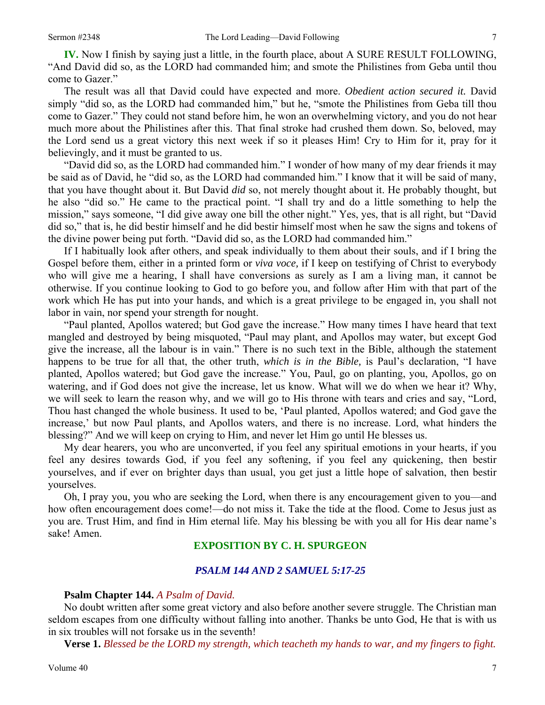**IV.** Now I finish by saying just a little, in the fourth place, about A SURE RESULT FOLLOWING, "And David did so, as the LORD had commanded him; and smote the Philistines from Geba until thou come to Gazer."

The result was all that David could have expected and more. *Obedient action secured it.* David simply "did so, as the LORD had commanded him," but he, "smote the Philistines from Geba till thou come to Gazer." They could not stand before him, he won an overwhelming victory, and you do not hear much more about the Philistines after this. That final stroke had crushed them down. So, beloved, may the Lord send us a great victory this next week if so it pleases Him! Cry to Him for it, pray for it believingly, and it must be granted to us.

"David did so, as the LORD had commanded him." I wonder of how many of my dear friends it may be said as of David, he "did so, as the LORD had commanded him." I know that it will be said of many, that you have thought about it. But David *did* so, not merely thought about it. He probably thought, but he also "did so." He came to the practical point. "I shall try and do a little something to help the mission," says someone, "I did give away one bill the other night." Yes, yes, that is all right, but "David did so," that is, he did bestir himself and he did bestir himself most when he saw the signs and tokens of the divine power being put forth. "David did so, as the LORD had commanded him."

If I habitually look after others, and speak individually to them about their souls, and if I bring the Gospel before them, either in a printed form or *viva voce,* if I keep on testifying of Christ to everybody who will give me a hearing, I shall have conversions as surely as I am a living man, it cannot be otherwise. If you continue looking to God to go before you, and follow after Him with that part of the work which He has put into your hands, and which is a great privilege to be engaged in, you shall not labor in vain, nor spend your strength for nought.

"Paul planted, Apollos watered; but God gave the increase." How many times I have heard that text mangled and destroyed by being misquoted, "Paul may plant, and Apollos may water, but except God give the increase, all the labour is in vain." There is no such text in the Bible, although the statement happens to be true for all that, the other truth, *which is in the Bible,* is Paul's declaration, "I have planted, Apollos watered; but God gave the increase." You, Paul, go on planting, you, Apollos, go on watering, and if God does not give the increase, let us know. What will we do when we hear it? Why, we will seek to learn the reason why, and we will go to His throne with tears and cries and say, "Lord, Thou hast changed the whole business. It used to be, 'Paul planted, Apollos watered; and God gave the increase,' but now Paul plants, and Apollos waters, and there is no increase. Lord, what hinders the blessing?" And we will keep on crying to Him, and never let Him go until He blesses us.

My dear hearers, you who are unconverted, if you feel any spiritual emotions in your hearts, if you feel any desires towards God, if you feel any softening, if you feel any quickening, then bestir yourselves, and if ever on brighter days than usual, you get just a little hope of salvation, then bestir yourselves.

Oh, I pray you, you who are seeking the Lord, when there is any encouragement given to you—and how often encouragement does come!—do not miss it. Take the tide at the flood. Come to Jesus just as you are. Trust Him, and find in Him eternal life. May his blessing be with you all for His dear name's sake! Amen.

# **EXPOSITION BY C. H. SPURGEON**

### *PSALM 144 AND 2 SAMUEL 5:17-25*

#### **Psalm Chapter 144.** *A Psalm of David.*

No doubt written after some great victory and also before another severe struggle. The Christian man seldom escapes from one difficulty without falling into another. Thanks be unto God, He that is with us in six troubles will not forsake us in the seventh!

**Verse 1.** *Blessed be the LORD my strength, which teacheth my hands to war, and my fingers to fight.*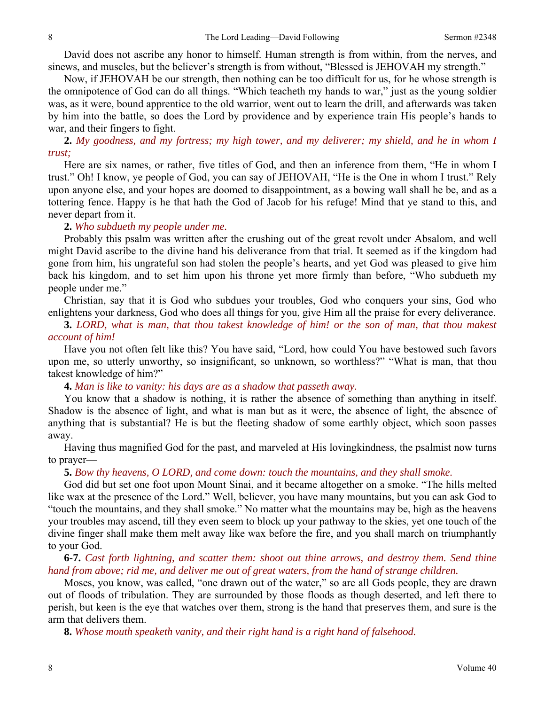David does not ascribe any honor to himself. Human strength is from within, from the nerves, and sinews, and muscles, but the believer's strength is from without, "Blessed is JEHOVAH my strength."

Now, if JEHOVAH be our strength, then nothing can be too difficult for us, for he whose strength is the omnipotence of God can do all things. "Which teacheth my hands to war," just as the young soldier was, as it were, bound apprentice to the old warrior, went out to learn the drill, and afterwards was taken by him into the battle, so does the Lord by providence and by experience train His people's hands to war, and their fingers to fight.

**2.** *My goodness, and my fortress; my high tower, and my deliverer; my shield, and he in whom I trust;* 

Here are six names, or rather, five titles of God, and then an inference from them, "He in whom I trust." Oh! I know, ye people of God, you can say of JEHOVAH, "He is the One in whom I trust." Rely upon anyone else, and your hopes are doomed to disappointment, as a bowing wall shall he be, and as a tottering fence. Happy is he that hath the God of Jacob for his refuge! Mind that ye stand to this, and never depart from it.

#### **2.** *Who subdueth my people under me.*

Probably this psalm was written after the crushing out of the great revolt under Absalom, and well might David ascribe to the divine hand his deliverance from that trial. It seemed as if the kingdom had gone from him, his ungrateful son had stolen the people's hearts, and yet God was pleased to give him back his kingdom, and to set him upon his throne yet more firmly than before, "Who subdueth my people under me."

Christian, say that it is God who subdues your troubles, God who conquers your sins, God who enlightens your darkness, God who does all things for you, give Him all the praise for every deliverance.

**3.** *LORD, what is man, that thou takest knowledge of him! or the son of man, that thou makest account of him!* 

Have you not often felt like this? You have said, "Lord, how could You have bestowed such favors upon me, so utterly unworthy, so insignificant, so unknown, so worthless?" "What is man, that thou takest knowledge of him?"

**4.** *Man is like to vanity: his days are as a shadow that passeth away.* 

You know that a shadow is nothing, it is rather the absence of something than anything in itself. Shadow is the absence of light, and what is man but as it were, the absence of light, the absence of anything that is substantial? He is but the fleeting shadow of some earthly object, which soon passes away.

Having thus magnified God for the past, and marveled at His lovingkindness, the psalmist now turns to prayer—

#### **5.** *Bow thy heavens, O LORD, and come down: touch the mountains, and they shall smoke.*

God did but set one foot upon Mount Sinai, and it became altogether on a smoke. "The hills melted like wax at the presence of the Lord." Well, believer, you have many mountains, but you can ask God to "touch the mountains, and they shall smoke." No matter what the mountains may be, high as the heavens your troubles may ascend, till they even seem to block up your pathway to the skies, yet one touch of the divine finger shall make them melt away like wax before the fire, and you shall march on triumphantly to your God.

**6-7.** *Cast forth lightning, and scatter them: shoot out thine arrows, and destroy them. Send thine hand from above; rid me, and deliver me out of great waters, from the hand of strange children.* 

Moses, you know, was called, "one drawn out of the water," so are all Gods people, they are drawn out of floods of tribulation. They are surrounded by those floods as though deserted, and left there to perish, but keen is the eye that watches over them, strong is the hand that preserves them, and sure is the arm that delivers them.

**8.** *Whose mouth speaketh vanity, and their right hand is a right hand of falsehood.*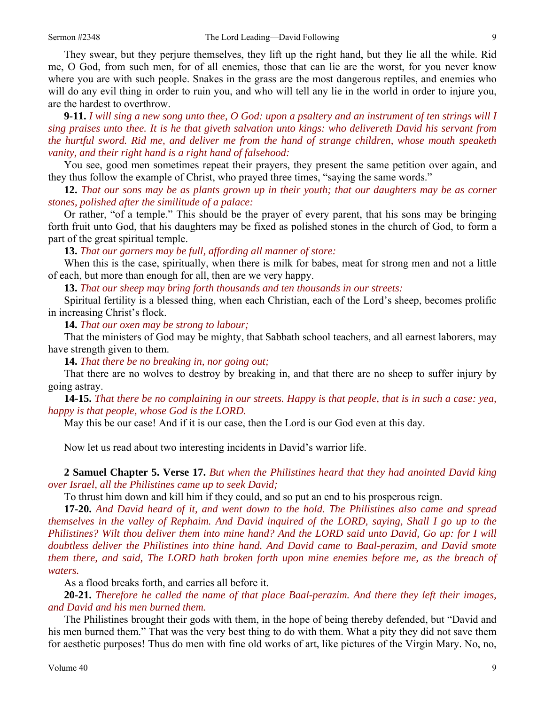They swear, but they perjure themselves, they lift up the right hand, but they lie all the while. Rid me, O God, from such men, for of all enemies, those that can lie are the worst, for you never know where you are with such people. Snakes in the grass are the most dangerous reptiles, and enemies who will do any evil thing in order to ruin you, and who will tell any lie in the world in order to injure you, are the hardest to overthrow.

**9-11.** *I will sing a new song unto thee, O God: upon a psaltery and an instrument of ten strings will I sing praises unto thee. It is he that giveth salvation unto kings: who delivereth David his servant from the hurtful sword. Rid me, and deliver me from the hand of strange children, whose mouth speaketh vanity, and their right hand is a right hand of falsehood:* 

You see, good men sometimes repeat their prayers, they present the same petition over again, and they thus follow the example of Christ, who prayed three times, "saying the same words."

**12.** *That our sons may be as plants grown up in their youth; that our daughters may be as corner stones, polished after the similitude of a palace:* 

Or rather, "of a temple." This should be the prayer of every parent, that his sons may be bringing forth fruit unto God, that his daughters may be fixed as polished stones in the church of God, to form a part of the great spiritual temple.

**13.** *That our garners may be full, affording all manner of store:* 

When this is the case, spiritually, when there is milk for babes, meat for strong men and not a little of each, but more than enough for all, then are we very happy.

**13.** *That our sheep may bring forth thousands and ten thousands in our streets:* 

Spiritual fertility is a blessed thing, when each Christian, each of the Lord's sheep, becomes prolific in increasing Christ's flock.

**14.** *That our oxen may be strong to labour;* 

That the ministers of God may be mighty, that Sabbath school teachers, and all earnest laborers, may have strength given to them.

**14.** *That there be no breaking in, nor going out;* 

That there are no wolves to destroy by breaking in, and that there are no sheep to suffer injury by going astray.

**14-15.** *That there be no complaining in our streets. Happy is that people, that is in such a case: yea, happy is that people, whose God is the LORD.* 

May this be our case! And if it is our case, then the Lord is our God even at this day.

Now let us read about two interesting incidents in David's warrior life.

**2 Samuel Chapter 5. Verse 17.** *But when the Philistines heard that they had anointed David king over Israel, all the Philistines came up to seek David;* 

To thrust him down and kill him if they could, and so put an end to his prosperous reign.

**17-20.** *And David heard of it, and went down to the hold. The Philistines also came and spread themselves in the valley of Rephaim. And David inquired of the LORD, saying, Shall I go up to the Philistines? Wilt thou deliver them into mine hand? And the LORD said unto David, Go up: for I will doubtless deliver the Philistines into thine hand. And David came to Baal-perazim, and David smote them there, and said, The LORD hath broken forth upon mine enemies before me, as the breach of waters.* 

As a flood breaks forth, and carries all before it.

**20-21.** *Therefore he called the name of that place Baal-perazim. And there they left their images, and David and his men burned them.* 

The Philistines brought their gods with them, in the hope of being thereby defended, but "David and his men burned them." That was the very best thing to do with them. What a pity they did not save them for aesthetic purposes! Thus do men with fine old works of art, like pictures of the Virgin Mary. No, no,